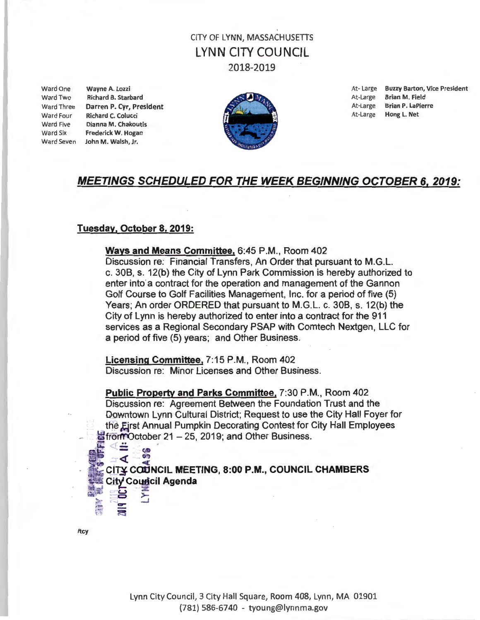# **CITY OF LYNN, MASSACHUSETTS** LYNN CITY COUNCIL 2018-2019

Ward Two Richard B. Starbard **At-Large Brian M. Field** At-Large Brian M. Field Ward Three Darren P. Cyr, President At-Large Brian P. LaPierre Ward Four Richard C. Colucci **At-Large Hong L. Net** Ward Five Dianna M. Chakoutis Ward Six Frederick W. Hogan Ward Seven John M. Walsh, Jr.



Ward One Wayne A. Lozzi **At-Large Buzzy Barton, Vice President** 

### MEETINGS SCHEDULED FOR THE WEEK BEGINNING OCTOBER 6, 2019:

### Tuesday, October 8, 2019:

 $\blacksquare$ 

 $E \geq 1$  $\geq$   $\geq$   $\geq$  $\bullet$   $\leq$ 

Ways and Means Committee, 6:45 P.M., Room 402 Discussion re: Financial Transfers, An Order that pursuant to M.G.L. c. 30B, s. 12(b) the City of Lynn Park Commission is hereby authorized to enter into a contract for the operation and management of the Gannon Golf Course to Golf Facilities Management, Inc. for a period of five (5) Years; An order ORDERED that pursuant to M.G.L. c. 30B, s. 12(b) the City of Lynn is hereby authorized to enter into a contract for the 911 services as a Regional Secondary PSAP with Comtech Nextgen, LLC for a period of five (5) years; and Other Business.

Licensing Committee, 7:15 P.M., Room 402 Discussion re: Minor Licenses and Other Business.

Public Property and Parks Committee, 7:30 P.M., Room 402 Discussion re: Agreement Between the Foundation Trust and the Downtown Lynn Cultural District; Request to use the City Hall Foyer for the Eirst Annual Pumpkin Decorating Contest for City Hall Employees from October 21 - 25, 2019; and Other Business.

 $\frac{1}{2}$  $\epsilon$  CITY COUNCIL MEETING, 8:00 P.M., COUNCIL CHAMBERS City Council Agenda

/tcy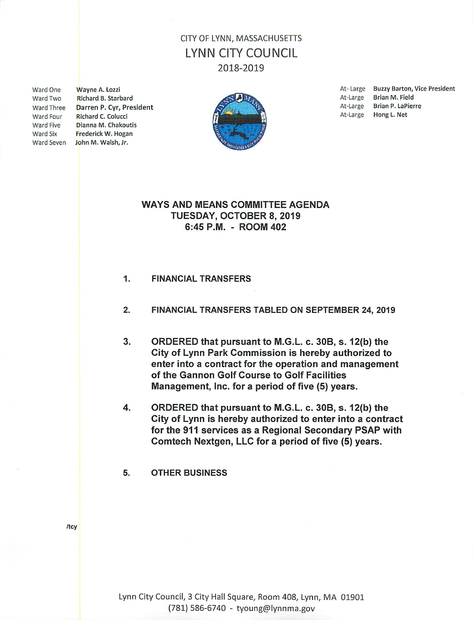# **CITY OF LYNN, MASSACHUSETTS** LYNN CITY COUNCIL 2018-2019

Ward One Ward Two **Ward Three** Ward Four Ward Five Ward Six

Wayne A. Lozzi Richard B. Starbard Darren P. Cyr, President Richard C. Colucci Dianna M. Chakoutis Frederick W. Hogan Ward Seven John M. Walsh, Jr.



At-Large Buzzy Barton, Vice President At-Large Brian M. Field At-Large Brian P. LaPierre At-Large Hong L. Net

### **WAYS AND MEANS COMMITTEE AGENDA** TUESDAY, OCTOBER 8, 2019 6:45 P.M. - ROOM 402

#### 1. **FINANCIAL TRANSFERS**

#### $2.$ FINANCIAL TRANSFERS TABLED ON SEPTEMBER 24, 2019

- 3. ORDERED that pursuant to M.G.L. c. 30B, s. 12(b) the City of Lynn Park Commission is hereby authorized to enter into a contract for the operation and management of the Gannon Golf Course to Golf Facilities Management, Inc. for a period of five (5) years.
- 4. ORDERED that pursuant to M.G.L. c. 30B, s. 12(b) the City of Lynn is hereby authorized to enter into a contract for the 911 services as a Regional Secondary PSAP with Comtech Nextgen, LLC for a period of five (5) years.
- 5. **OTHER BUSINESS**

/tcy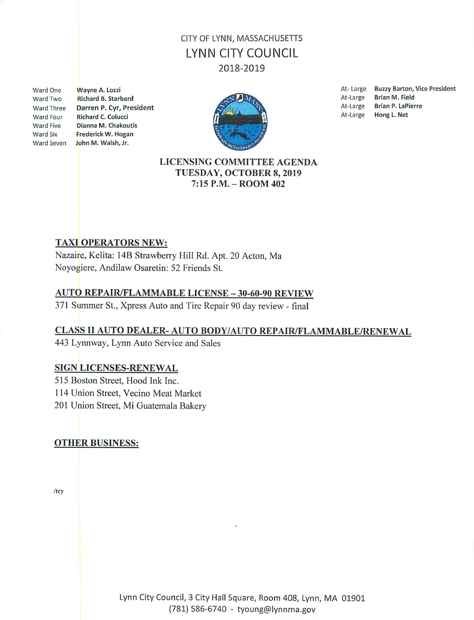# CITY OF LYNN, MASSACHUSETTS LYNN CITY COUNCIL 2018-2019

Ward One Ward Two Ward Three Ward Four Ward Five Ward Six

Wayne A. Lozzi Richard B. Starbard Darren P. Cyr. President Richard C. Colucci Dianna M. Chakoutis Frederick W. Hogan Ward Seven John M. Walsh, Jr.



**Buzzy Barton, Vice President** At-Large At-Large Brian M. Field **Brian P. LaPierre** At-Large Hong L. Net At-Large

### LICENSING COMMITTEE AGENDA TUESDAY, OCTOBER 8, 2019 7:15 P.M. - ROOM 402

### **TAXI OPERATORS NEW:**

Nazaire, Kelita: 14B Strawberry Hill Rd. Apt. 20 Acton, Ma Noyogiere, Andilaw Osaretin: 52 Friends St.

### **AUTO REPAIR/FLAMMABLE LICENSE - 30-60-90 REVIEW**

371 Summer St., Xpress Auto and Tire Repair 90 day review - final

### CLASS II AUTO DEALER- AUTO BODY/AUTO REPAIR/FLAMMABLE/RENEWAL

443 Lynnway, Lynn Auto Service and Sales

#### **SIGN LICENSES-RENEWAL**

515 Boston Street, Hood Ink Inc.

114 Union Street, Vecino Meat Market

201 Union Street, Mi Guatemala Bakery

### **OTHER BUSINESS:**

 $/$ tcy

Lynn City Council, 3 City Hall Square, Room 408, Lynn, MA 01901 (781) 586-6740 - tyoung@lynnma.gov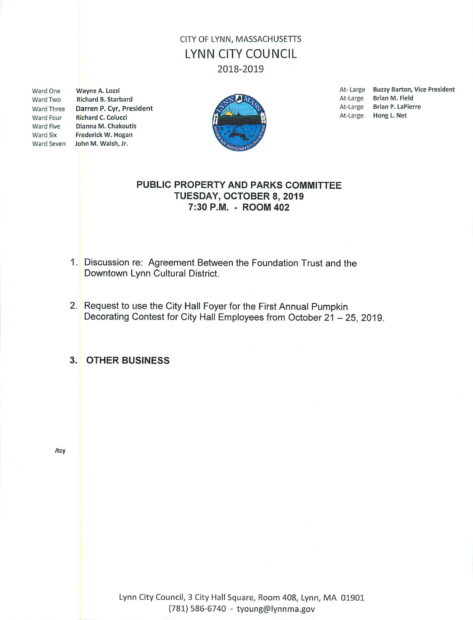# CITY OF LYNN, MASSACHUSETTS **LYNN CITY COUNCIL** 2018-2019

Ward One Ward Two Ward Four Ward Five

Wayne A. Lozzi Richard B. Starbard Ward Three Darren P. Cyr, President Richard C. Colucci Dianna M. Chakoutis Ward Six Frederick W. Hogan Ward Seven John M. Walsh, Jr.



At-Large Buzzy Barton, Vice President At-Large Brian M. Field At-Large Brian P. LaPierre At-Large Hong L. Net

### PUBLIC PROPERTY AND PARKS COMMITTEE TUESDAY, OCTOBER 8, 2019 7:30 P.M. - ROOM 402

- 1. Discussion re: Agreement Between the Foundation Trust and the Downtown Lynn Cultural District.
- 2. Request to use the City Hall Foyer for the First Annual Pumpkin Decorating Contest for City Hall Employees from October 21 - 25, 2019.
- 3. OTHER BUSINESS

/tcy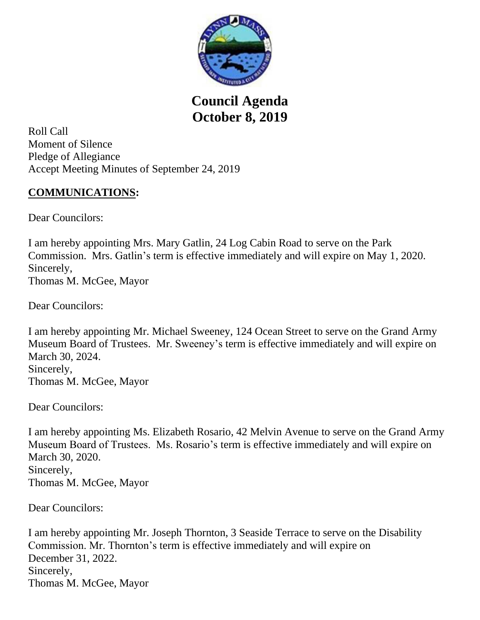

**Council Agenda October 8, 2019**

Roll Call Moment of Silence Pledge of Allegiance Accept Meeting Minutes of September 24, 2019

# **COMMUNICATIONS:**

Dear Councilors:

I am hereby appointing Mrs. Mary Gatlin, 24 Log Cabin Road to serve on the Park Commission. Mrs. Gatlin's term is effective immediately and will expire on May 1, 2020. Sincerely, Thomas M. McGee, Mayor

Dear Councilors:

I am hereby appointing Mr. Michael Sweeney, 124 Ocean Street to serve on the Grand Army Museum Board of Trustees. Mr. Sweeney's term is effective immediately and will expire on March 30, 2024. Sincerely, Thomas M. McGee, Mayor

Dear Councilors:

I am hereby appointing Ms. Elizabeth Rosario, 42 Melvin Avenue to serve on the Grand Army Museum Board of Trustees. Ms. Rosario's term is effective immediately and will expire on March 30, 2020. Sincerely, Thomas M. McGee, Mayor

Dear Councilors:

I am hereby appointing Mr. Joseph Thornton, 3 Seaside Terrace to serve on the Disability Commission. Mr. Thornton's term is effective immediately and will expire on December 31, 2022. Sincerely, Thomas M. McGee, Mayor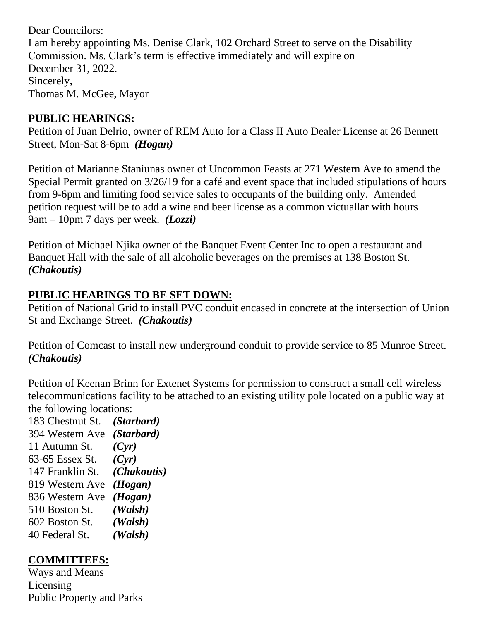Dear Councilors: I am hereby appointing Ms. Denise Clark, 102 Orchard Street to serve on the Disability Commission. Ms. Clark's term is effective immediately and will expire on December 31, 2022. Sincerely, Thomas M. McGee, Mayor

### **PUBLIC HEARINGS:**

Petition of Juan Delrio, owner of REM Auto for a Class II Auto Dealer License at 26 Bennett Street, Mon-Sat 8-6pm *(Hogan)*

Petition of Marianne Staniunas owner of Uncommon Feasts at 271 Western Ave to amend the Special Permit granted on 3/26/19 for a café and event space that included stipulations of hours from 9-6pm and limiting food service sales to occupants of the building only. Amended petition request will be to add a wine and beer license as a common victuallar with hours 9am – 10pm 7 days per week. *(Lozzi)* 

Petition of Michael Njika owner of the Banquet Event Center Inc to open a restaurant and Banquet Hall with the sale of all alcoholic beverages on the premises at 138 Boston St. *(Chakoutis)* 

# **PUBLIC HEARINGS TO BE SET DOWN:**

Petition of National Grid to install PVC conduit encased in concrete at the intersection of Union St and Exchange Street. *(Chakoutis)*

Petition of Comcast to install new underground conduit to provide service to 85 Munroe Street. *(Chakoutis)*

Petition of Keenan Brinn for Extenet Systems for permission to construct a small cell wireless telecommunications facility to be attached to an existing utility pole located on a public way at the following locations:

183 Chestnut St. *(Starbard)* 394 Western Ave *(Starbard)* 11 Autumn St. *(Cyr)*  63-65 Essex St. *(Cyr)* 147 Franklin St. *(Chakoutis)* 819 Western Ave *(Hogan)* 836 Western Ave *(Hogan)* 510 Boston St. *(Walsh)* 602 Boston St. *(Walsh)* 40 Federal St. *(Walsh)*

# **COMMITTEES:**

Ways and Means Licensing Public Property and Parks